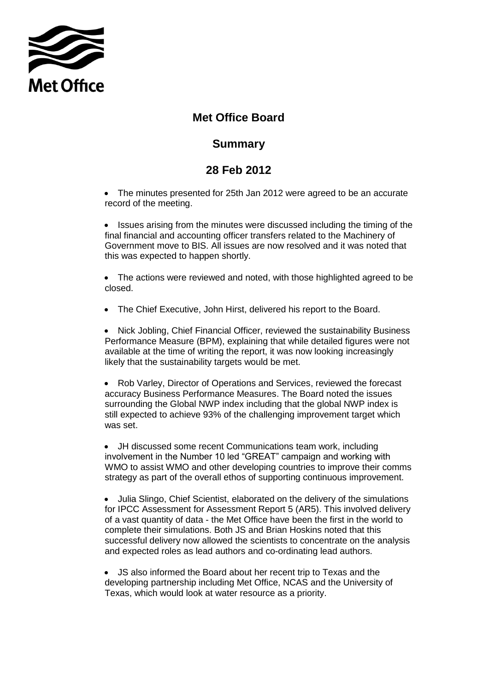

## **Met Office Board**

## **Summary**

## **28 Feb 2012**

• The minutes presented for 25th Jan 2012 were agreed to be an accurate record of the meeting.

• Issues arising from the minutes were discussed including the timing of the final financial and accounting officer transfers related to the Machinery of Government move to BIS. All issues are now resolved and it was noted that this was expected to happen shortly.

• The actions were reviewed and noted, with those highlighted agreed to be closed.

The Chief Executive, John Hirst, delivered his report to the Board.

 Nick Jobling, Chief Financial Officer, reviewed the sustainability Business Performance Measure (BPM), explaining that while detailed figures were not available at the time of writing the report, it was now looking increasingly likely that the sustainability targets would be met.

 Rob Varley, Director of Operations and Services, reviewed the forecast accuracy Business Performance Measures. The Board noted the issues surrounding the Global NWP index including that the global NWP index is still expected to achieve 93% of the challenging improvement target which was set.

 JH discussed some recent Communications team work, including involvement in the Number 10 led "GREAT" campaign and working with WMO to assist WMO and other developing countries to improve their comms strategy as part of the overall ethos of supporting continuous improvement.

 Julia Slingo, Chief Scientist, elaborated on the delivery of the simulations for IPCC Assessment for Assessment Report 5 (AR5). This involved delivery of a vast quantity of data - the Met Office have been the first in the world to complete their simulations. Both JS and Brian Hoskins noted that this successful delivery now allowed the scientists to concentrate on the analysis and expected roles as lead authors and co-ordinating lead authors.

 JS also informed the Board about her recent trip to Texas and the developing partnership including Met Office, NCAS and the University of Texas, which would look at water resource as a priority.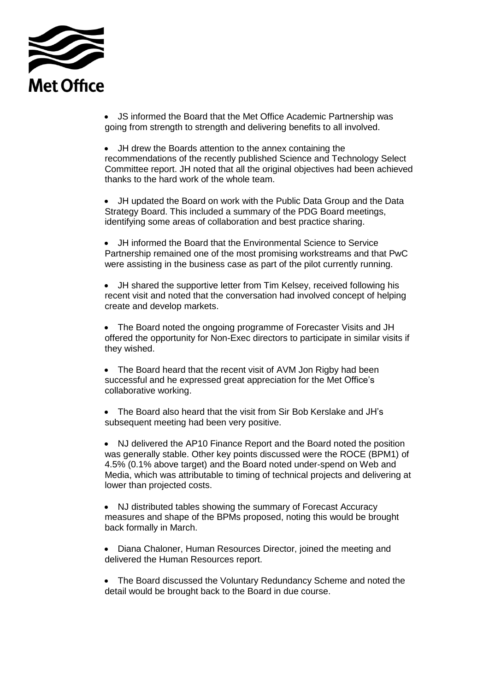

 JS informed the Board that the Met Office Academic Partnership was going from strength to strength and delivering benefits to all involved.

 JH drew the Boards attention to the annex containing the recommendations of the recently published Science and Technology Select Committee report. JH noted that all the original objectives had been achieved thanks to the hard work of the whole team.

 JH updated the Board on work with the Public Data Group and the Data Strategy Board. This included a summary of the PDG Board meetings, identifying some areas of collaboration and best practice sharing.

 JH informed the Board that the Environmental Science to Service Partnership remained one of the most promising workstreams and that PwC were assisting in the business case as part of the pilot currently running.

 JH shared the supportive letter from Tim Kelsey, received following his recent visit and noted that the conversation had involved concept of helping create and develop markets.

• The Board noted the ongoing programme of Forecaster Visits and JH offered the opportunity for Non-Exec directors to participate in similar visits if they wished.

• The Board heard that the recent visit of AVM Jon Rigby had been successful and he expressed great appreciation for the Met Office's collaborative working.

 The Board also heard that the visit from Sir Bob Kerslake and JH's subsequent meeting had been very positive.

 NJ delivered the AP10 Finance Report and the Board noted the position was generally stable. Other key points discussed were the ROCE (BPM1) of 4.5% (0.1% above target) and the Board noted under-spend on Web and Media, which was attributable to timing of technical projects and delivering at lower than projected costs.

• NJ distributed tables showing the summary of Forecast Accuracy measures and shape of the BPMs proposed, noting this would be brought back formally in March.

 Diana Chaloner, Human Resources Director, joined the meeting and delivered the Human Resources report.

• The Board discussed the Voluntary Redundancy Scheme and noted the detail would be brought back to the Board in due course.